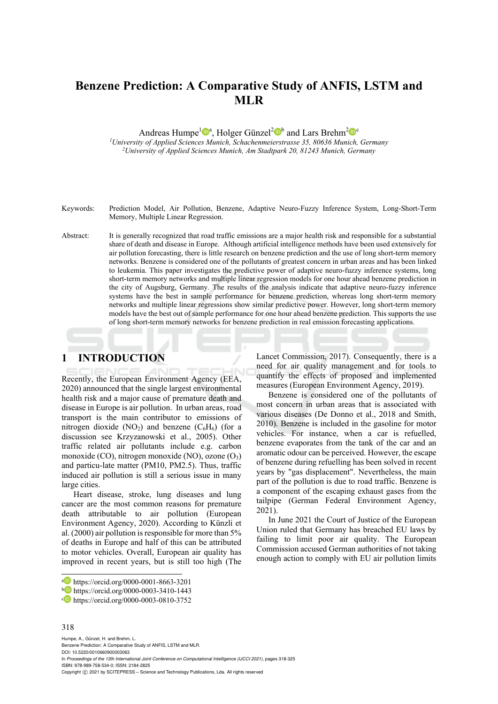# **Benzene Prediction: A Comparative Study of ANFIS, LSTM and MLR**

Andreas Humpe<sup>1</sup><sup>®</sup><sup>a</sup>, Holger Günzel<sup>2</sup><sup>®</sup> and Lars Brehm<sup>2</sup><sup>®</sup><sup>c</sup><br><sup>1</sup>University of Applied Sciences Munich, Schachenmeierstrasse 35, 80636 Munich, Germany

<sup>2</sup>University of Applied Sciences Munich, Am Stadtpark 20, 81243 Munich, Germany

Keywords: Prediction Model, Air Pollution, Benzene, Adaptive Neuro-Fuzzy Inference System, Long-Short-Term Memory, Multiple Linear Regression.

Abstract: It is generally recognized that road traffic emissions are a major health risk and responsible for a substantial share of death and disease in Europe. Although artificial intelligence methods have been used extensively for air pollution forecasting, there is little research on benzene prediction and the use of long short-term memory networks. Benzene is considered one of the pollutants of greatest concern in urban areas and has been linked to leukemia. This paper investigates the predictive power of adaptive neuro-fuzzy inference systems, long short-term memory networks and multiple linear regression models for one hour ahead benzene prediction in the city of Augsburg, Germany. The results of the analysis indicate that adaptive neuro-fuzzy inference systems have the best in sample performance for benzene prediction, whereas long short-term memory networks and multiple linear regressions show similar predictive power. However, long short-term memory models have the best out of sample performance for one hour ahead benzene prediction. This supports the use of long short-term memory networks for benzene prediction in real emission forecasting applications.

# **1 INTRODUCTION**

Recently, the European Environment Agency (EEA, 2020) announced that the single largest environmental health risk and a major cause of premature death and disease in Europe is air pollution. In urban areas, road transport is the main contributor to emissions of nitrogen dioxide  $(NO_2)$  and benzene  $(C_6H_6)$  (for a discussion see Krzyzanowski et al., 2005). Other traffic related air pollutants include e.g. carbon monoxide (CO), nitrogen monoxide (NO), ozone  $(O_3)$ and particu-late matter (PM10, PM2.5). Thus, traffic induced air pollution is still a serious issue in many large cities.

Heart disease, stroke, lung diseases and lung cancer are the most common reasons for premature death attributable to air pollution (European Environment Agency, 2020). According to Künzli et al. (2000) air pollution is responsible for more than 5% of deaths in Europe and half of this can be attributed to motor vehicles. Overall, European air quality has improved in recent years, but is still too high (The

#### 318

Humpe, A., Günzel, H. and Brehm, L. Benzene Prediction: A Comparative Study of ANFIS, LSTM and MLR. DOI: 10.5220/0010660900003063 In *Proceedings of the 13th International Joint Conference on Computational Intelligence (IJCCI 2021)*, pages 318-325 ISBN: 978-989-758-534-0; ISSN: 2184-2825 Copyright (C) 2021 by SCITEPRESS - Science and Technology Publications, Lda. All rights reserved

Lancet Commission, 2017). Consequently, there is a need for air quality management and for tools to quantify the effects of proposed and implemented measures (European Environment Agency, 2019).

Benzene is considered one of the pollutants of most concern in urban areas that is associated with various diseases (De Donno et al., 2018 and Smith, 2010). Benzene is included in the gasoline for motor vehicles. For instance, when a car is refuelled, benzene evaporates from the tank of the car and an aromatic odour can be perceived. However, the escape of benzene during refuelling has been solved in recent years by "gas displacement". Nevertheless, the main part of the pollution is due to road traffic. Benzene is a component of the escaping exhaust gases from the tailpipe (German Federal Environment Agency, 2021).

In June 2021 the Court of Justice of the European Union ruled that Germany has breached EU laws by failing to limit poor air quality. The European Commission accused German authorities of not taking enough action to comply with EU air pollution limits

a https://orcid.org/0000-0001-8663-3201<br>b https://orcid.org/0000-0003-3410-1443<br>c https://orcid.org/0000-0003-0810-3752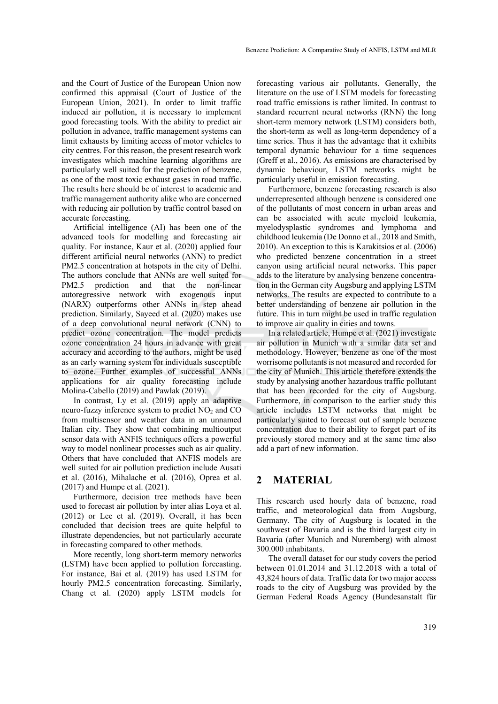and the Court of Justice of the European Union now confirmed this appraisal (Court of Justice of the European Union, 2021). In order to limit traffic induced air pollution, it is necessary to implement good forecasting tools. With the ability to predict air pollution in advance, traffic management systems can limit exhausts by limiting access of motor vehicles to city centres. For this reason, the present research work investigates which machine learning algorithms are particularly well suited for the prediction of benzene, as one of the most toxic exhaust gases in road traffic. The results here should be of interest to academic and traffic management authority alike who are concerned with reducing air pollution by traffic control based on accurate forecasting.

Artificial intelligence (AI) has been one of the advanced tools for modelling and forecasting air quality. For instance, Kaur et al. (2020) applied four different artificial neural networks (ANN) to predict PM2.5 concentration at hotspots in the city of Delhi. The authors conclude that ANNs are well suited for PM2.5 prediction and that the non-linear autoregressive network with exogenous input (NARX) outperforms other ANNs in step ahead prediction. Similarly, Sayeed et al. (2020) makes use of a deep convolutional neural network (CNN) to predict ozone concentration. The model predicts ozone concentration 24 hours in advance with great accuracy and according to the authors, might be used as an early warning system for individuals susceptible to ozone. Further examples of successful ANNs applications for air quality forecasting include Molina-Cabello (2019) and Pawlak (2019).

In contrast, Ly et al. (2019) apply an adaptive neuro-fuzzy inference system to predict  $NO<sub>2</sub>$  and  $CO$ from multisensor and weather data in an unnamed Italian city. They show that combining multioutput sensor data with ANFIS techniques offers a powerful way to model nonlinear processes such as air quality. Others that have concluded that ANFIS models are well suited for air pollution prediction include Ausati et al. (2016), Mihalache et al. (2016), Oprea et al. (2017) and Humpe et al. (2021).

Furthermore, decision tree methods have been used to forecast air pollution by inter alias Loya et al. (2012) or Lee et al. (2019). Overall, it has been concluded that decision trees are quite helpful to illustrate dependencies, but not particularly accurate in forecasting compared to other methods.

More recently, long short-term memory networks (LSTM) have been applied to pollution forecasting. For instance, Bai et al. (2019) has used LSTM for hourly PM2.5 concentration forecasting. Similarly, Chang et al. (2020) apply LSTM models for

forecasting various air pollutants. Generally, the literature on the use of LSTM models for forecasting road traffic emissions is rather limited. In contrast to standard recurrent neural networks (RNN) the long short-term memory network (LSTM) considers both, the short-term as well as long-term dependency of a time series. Thus it has the advantage that it exhibits temporal dynamic behaviour for a time sequences (Greff et al., 2016). As emissions are characterised by dynamic behaviour, LSTM networks might be particularly useful in emission forecasting.

Furthermore, benzene forecasting research is also underrepresented although benzene is considered one of the pollutants of most concern in urban areas and can be associated with acute myeloid leukemia, myelodysplastic syndromes and lymphoma and childhood leukemia (De Donno et al., 2018 and Smith, 2010). An exception to this is Karakitsios et al. (2006) who predicted benzene concentration in a street canyon using artificial neural networks. This paper adds to the literature by analysing benzene concentration in the German city Augsburg and applying LSTM networks. The results are expected to contribute to a better understanding of benzene air pollution in the future. This in turn might be used in traffic regulation to improve air quality in cities and towns.

In a related article, Humpe et al. (2021) investigate air pollution in Munich with a similar data set and methodology. However, benzene as one of the most worrisome pollutants is not measured and recorded for the city of Munich. This article therefore extends the study by analysing another hazardous traffic pollutant that has been recorded for the city of Augsburg. Furthermore, in comparison to the earlier study this article includes LSTM networks that might be particularly suited to forecast out of sample benzene concentration due to their ability to forget part of its previously stored memory and at the same time also add a part of new information.

# **2 MATERIAL**

This research used hourly data of benzene, road traffic, and meteorological data from Augsburg, Germany. The city of Augsburg is located in the southwest of Bavaria and is the third largest city in Bavaria (after Munich and Nuremberg) with almost 300.000 inhabitants.

The overall dataset for our study covers the period between 01.01.2014 and 31.12.2018 with a total of 43,824 hours of data. Traffic data for two major access roads to the city of Augsburg was provided by the German Federal Roads Agency (Bundesanstalt für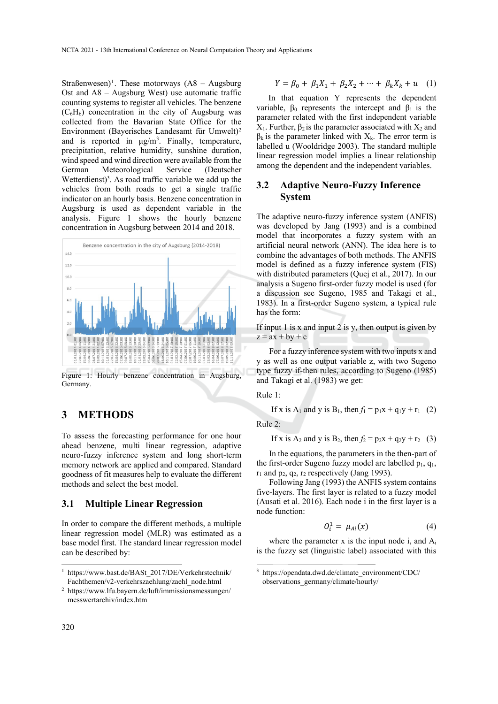Straßenwesen)<sup>1</sup>. These motorways  $(A8 - Augsburg)$ Ost and A8 – Augsburg West) use automatic traffic counting systems to register all vehicles. The benzene  $(C_6H_6)$  concentration in the city of Augsburg was collected from the Bavarian State Office for the Environment (Bayerisches Landesamt für Umwelt)2 and is reported in  $\mu$ g/m<sup>3</sup>. Finally, temperature, precipitation, relative humidity, sunshine duration, wind speed and wind direction were available from the<br>German Meteorological Service (Deutscher German Meteorological Service (Deutscher Wetterdienst)<sup>3</sup>. As road traffic variable we add up the vehicles from both roads to get a single traffic indicator on an hourly basis. Benzene concentration in Augsburg is used as dependent variable in the analysis. Figure 1 shows the hourly benzene concentration in Augsburg between 2014 and 2018.



Figure 1: Hourly benzene concentration in Augsburg, Germany.

## **3 METHODS**

To assess the forecasting performance for one hour ahead benzene, multi linear regression, adaptive neuro-fuzzy inference system and long short-term memory network are applied and compared. Standard goodness of fit measures help to evaluate the different methods and select the best model.

#### **3.1 Multiple Linear Regression**

In order to compare the different methods, a multiple linear regression model (MLR) was estimated as a base model first. The standard linear regression model can be described by:

$$
Y = \beta_0 + \beta_1 X_1 + \beta_2 X_2 + \dots + \beta_k X_k + u \quad (1)
$$

In that equation Y represents the dependent variable,  $\beta_0$  represents the intercept and  $\beta_1$  is the parameter related with the first independent variable  $X_1$ . Further,  $β_2$  is the parameter associated with  $X_2$  and  $\beta_k$  is the parameter linked with  $X_k$ . The error term is labelled u (Wooldridge 2003). The standard multiple linear regression model implies a linear relationship among the dependent and the independent variables.

### **3.2 Adaptive Neuro-Fuzzy Inference System**

The adaptive neuro-fuzzy inference system (ANFIS) was developed by Jang (1993) and is a combined model that incorporates a fuzzy system with an artificial neural network (ANN). The idea here is to combine the advantages of both methods. The ANFIS model is defined as a fuzzy inference system (FIS) with distributed parameters (Quej et al., 2017). In our analysis a Sugeno first-order fuzzy model is used (for a discussion see Sugeno, 1985 and Takagi et al., 1983). In a first-order Sugeno system, a typical rule has the form:

If input 1 is x and input 2 is y, then output is given by  $z = ax + by + c$ 

For a fuzzy inference system with two inputs x and y as well as one output variable z, with two Sugeno type fuzzy if-then rules, according to Sugeno (1985) and Takagi et al. (1983) we get:

Rule 1:

If x is A<sub>1</sub> and y is B<sub>1</sub>, then  $f_1 = p_1x + q_1y + r_1$  (2)

Rule 2:

If x is A<sub>2</sub> and y is B<sub>2</sub>, then 
$$
f_2 = p_2x + q_2y + r_2
$$
 (3)

In the equations, the parameters in the then-part of the first-order Sugeno fuzzy model are labelled  $p_1$ ,  $q_1$ ,  $r_1$  and  $p_2$ ,  $q_2$ ,  $r_2$  respectively (Jang 1993).

Following Jang (1993) the ANFIS system contains five-layers. The first layer is related to a fuzzy model (Ausati et al. 2016). Each node i in the first layer is a node function:

$$
O_i^1 = \mu_{Ai}(x) \tag{4}
$$

where the parameter x is the input node i, and  $A_i$ is the fuzzy set (linguistic label) associated with this

<sup>&</sup>lt;sup>1</sup> https://www.bast.de/BASt\_2017/DE/Verkehrstechnik/ Fachthemen/v2-verkehrszaehlung/zaehl\_node.html

<sup>2</sup> https://www.lfu.bayern.de/luft/immissionsmessungen/ messwertarchiv/index.htm

<sup>3</sup> https://opendata.dwd.de/climate\_environment/CDC/ observations\_germany/climate/hourly/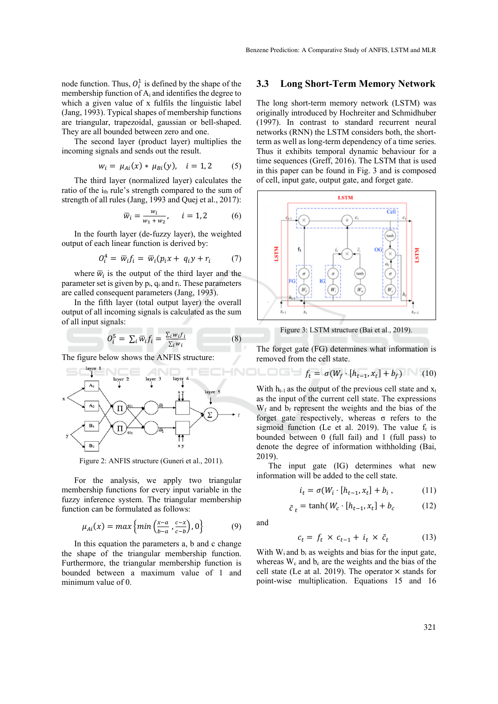node function. Thus,  $O_i^1$  is defined by the shape of the membership function of Ai and identifies the degree to which a given value of x fulfils the linguistic label (Jang, 1993). Typical shapes of membership functions are triangular, trapezoidal, gaussian or bell-shaped. They are all bounded between zero and one.

The second layer (product layer) multiplies the incoming signals and sends out the result.

$$
w_i = \mu_{Ai}(x) * \mu_{Bi}(y), \quad i = 1, 2 \tag{5}
$$

The third layer (normalized layer) calculates the ratio of the i<sub>th</sub> rule's strength compared to the sum of strength of all rules (Jang, 1993 and Quej et al., 2017):

$$
\overline{w}_i = \frac{w_i}{w_1 + w_2}, \quad i = 1, 2 \tag{6}
$$

In the fourth layer (de-fuzzy layer), the weighted output of each linear function is derived by:

$$
O_i^4 = \overline{w}_i f_i = \overline{w}_i (p_i x + q_i y + r_i \qquad (7)
$$

where  $\overline{w}_i$  is the output of the third layer and the parameter set is given by  $p_i$ ,  $q_i$  and  $r_i$ . These parameters are called consequent parameters (Jang, 1993).

In the fifth layer (total output layer) the overall output of all incoming signals is calculated as the sum of all input signals:

$$
O_i^5 = \sum_i \overline{w}_i f_i = \frac{\sum_i w_i f_i}{\sum_i w_i}
$$
 (8)

The figure below shows the ANFIS structure:



Figure 2: ANFIS structure (Guneri et al., 2011).

For the analysis, we apply two triangular membership functions for every input variable in the fuzzy inference system. The triangular membership function can be formulated as follows:

$$
\mu_{Ai}(x) = \max\left\{\min\left(\frac{x-a}{b-a}, \frac{c-x}{c-b}\right), 0\right\} \tag{9}
$$

In this equation the parameters a, b and c change the shape of the triangular membership function. Furthermore, the triangular membership function is bounded between a maximum value of 1 and minimum value of 0.

#### **3.3 Long Short-Term Memory Network**

The long short-term memory network (LSTM) was originally introduced by Hochreiter and Schmidhuber (1997). In contrast to standard recurrent neural networks (RNN) the LSTM considers both, the shortterm as well as long-term dependency of a time series. Thus it exhibits temporal dynamic behaviour for a time sequences (Greff, 2016). The LSTM that is used in this paper can be found in Fig. 3 and is composed of cell, input gate, output gate, and forget gate.



Figure 3: LSTM structure (Bai et al., 2019).

The forget gate (FG) determines what information is removed from the cell state.

$$
f_t = \sigma(W_f \cdot [h_{t-1}, x_t] + b_f) \tag{10}
$$

With  $h_{t-1}$  as the output of the previous cell state and  $x_t$ as the input of the current cell state. The expressions  $W_f$  and  $b_f$  represent the weights and the bias of the forget gate respectively, whereas σ refers to the sigmoid function (Le et al. 2019). The value  $f_t$  is bounded between 0 (full fail) and 1 (full pass) to denote the degree of information withholding (Bai, 2019).

The input gate (IG) determines what new information will be added to the cell state.

$$
i_t = \sigma(W_i \cdot [h_{t-1}, x_t] + b_i , \qquad (11)
$$

$$
\tilde{c}_t = \tanh(W_c \cdot [h_{t-1}, x_t] + b_c \tag{12}
$$

and

$$
c_t = f_t \times c_{t-1} + i_t \times \tilde{c}_t \tag{13}
$$

With  $W_i$  and  $b_i$  as weights and bias for the input gate, whereas  $W_c$  and  $b_c$  are the weights and the bias of the cell state (Le at al. 2019). The operator  $\times$  stands for point-wise multiplication. Equations 15 and 16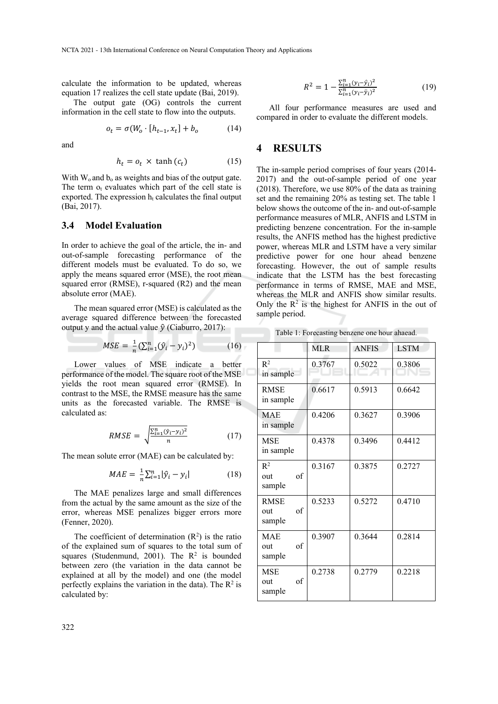calculate the information to be updated, whereas equation 17 realizes the cell state update (Bai, 2019).

The output gate (OG) controls the current information in the cell state to flow into the outputs.

$$
o_t = \sigma(W_o \cdot [h_{t-1}, x_t] + b_o \tag{14}
$$

and

$$
h_t = o_t \times \tanh(c_t) \tag{15}
$$

With  $W_0$  and  $b_0$  as weights and bias of the output gate. The term  $o_t$  evaluates which part of the cell state is exported. The expression  $h_t$  calculates the final output (Bai, 2017).

# **3.4 Model Evaluation**

In order to achieve the goal of the article, the in- and out-of-sample forecasting performance of the different models must be evaluated. To do so, we apply the means squared error (MSE), the root mean squared error (RMSE), r-squared (R2) and the mean absolute error (MAE).

The mean squared error (MSE) is calculated as the average squared difference between the forecasted output y and the actual value  $\hat{y}$  (Ciaburro, 2017):

$$
MSE = \frac{1}{n} (\sum_{i=1}^{n} (\hat{y}_i - y_i)^2)
$$
 (16)

Lower values of MSE indicate a better performance of the model. The square root of the MSE yields the root mean squared error (RMSE). In contrast to the MSE, the RMSE measure has the same units as the forecasted variable. The RMSE is calculated as:

$$
RMSE = \sqrt{\frac{\sum_{i=1}^{n} (\hat{y}_i - y_i)^2}{n}}
$$
 (17)

The mean solute error (MAE) can be calculated by:

$$
MAE = \frac{1}{n} \sum_{i=1}^{n} |\hat{y}_i - y_i| \tag{18}
$$

The MAE penalizes large and small differences from the actual by the same amount as the size of the error, whereas MSE penalizes bigger errors more (Fenner, 2020).

The coefficient of determination  $(R^2)$  is the ratio of the explained sum of squares to the total sum of squares (Studenmund, 2001). The  $R^2$  is bounded between zero (the variation in the data cannot be explained at all by the model) and one (the model perfectly explains the variation in the data). The  $\mathbb{R}^2$  is calculated by:

$$
R^{2} = 1 - \frac{\sum_{i=1}^{n} (y_{i} - \hat{y}_{i})^{2}}{\sum_{i=1}^{n} (y_{i} - \bar{y}_{i})^{2}}
$$
(19)

All four performance measures are used and compared in order to evaluate the different models.

### **4 RESULTS**

The in-sample period comprises of four years (2014- 2017) and the out-of-sample period of one year (2018). Therefore, we use 80% of the data as training set and the remaining 20% as testing set. The table 1 below shows the outcome of the in- and out-of-sample performance measures of MLR, ANFIS and LSTM in predicting benzene concentration. For the in-sample results, the ANFIS method has the highest predictive power, whereas MLR and LSTM have a very similar predictive power for one hour ahead benzene forecasting. However, the out of sample results indicate that the LSTM has the best forecasting performance in terms of RMSE, MAE and MSE, whereas the MLR and ANFIS show similar results. Only the  $\mathbb{R}^2$  is the highest for ANFIS in the out of sample period.

Table 1: Forecasting benzene one hour ahaead.

|                                    | MLR    | <b>ANFIS</b> | <b>LSTM</b> |
|------------------------------------|--------|--------------|-------------|
| $R^2$<br>in sample                 | 0.3767 | 0.5022       | 0.3806      |
| <b>RMSE</b><br>in sample           | 0.6617 | 0.5913       | 0.6642      |
| <b>MAE</b><br>in sample            | 0.4206 | 0.3627       | 0.3906      |
| <b>MSE</b><br>in sample            | 0.4378 | 0.3496       | 0.4412      |
| $R^2$<br>of<br>out<br>sample       | 0.3167 | 0.3875       | 0.2727      |
| <b>RMSE</b><br>of<br>out<br>sample | 0.5233 | 0.5272       | 0.4710      |
| <b>MAE</b><br>of<br>out<br>sample  | 0.3907 | 0.3644       | 0.2814      |
| <b>MSE</b><br>of<br>out<br>sample  | 0.2738 | 0.2779       | 0.2218      |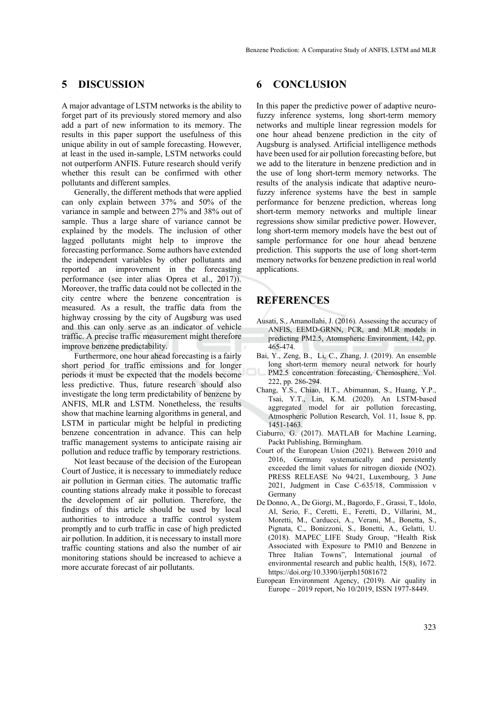# **5 DISCUSSION**

A major advantage of LSTM networks is the ability to forget part of its previously stored memory and also add a part of new information to its memory. The results in this paper support the usefulness of this unique ability in out of sample forecasting. However, at least in the used in-sample, LSTM networks could not outperform ANFIS. Future research should verify whether this result can be confirmed with other pollutants and different samples.

Generally, the different methods that were applied can only explain between 37% and 50% of the variance in sample and between 27% and 38% out of sample. Thus a large share of variance cannot be explained by the models. The inclusion of other lagged pollutants might help to improve the forecasting performance. Some authors have extended the independent variables by other pollutants and reported an improvement in the forecasting performance (see inter alias Oprea et al., 2017)). Moreover, the traffic data could not be collected in the city centre where the benzene concentration is measured. As a result, the traffic data from the highway crossing by the city of Augsburg was used and this can only serve as an indicator of vehicle traffic. A precise traffic measurement might therefore improve benzene predictability.

Furthermore, one hour ahead forecasting is a fairly short period for traffic emissions and for longer periods it must be expected that the models become less predictive. Thus, future research should also investigate the long term predictability of benzene by ANFIS, MLR and LSTM. Nonetheless, the results show that machine learning algorithms in general, and LSTM in particular might be helpful in predicting benzene concentration in advance. This can help traffic management systems to anticipate raising air pollution and reduce traffic by temporary restrictions.

Not least because of the decision of the European Court of Justice, it is necessary to immediately reduce air pollution in German cities. The automatic traffic counting stations already make it possible to forecast the development of air pollution. Therefore, the findings of this article should be used by local authorities to introduce a traffic control system promptly and to curb traffic in case of high predicted air pollution. In addition, it is necessary to install more traffic counting stations and also the number of air monitoring stations should be increased to achieve a more accurate forecast of air pollutants.

# **6 CONCLUSION**

In this paper the predictive power of adaptive neurofuzzy inference systems, long short-term memory networks and multiple linear regression models for one hour ahead benzene prediction in the city of Augsburg is analysed. Artificial intelligence methods have been used for air pollution forecasting before, but we add to the literature in benzene prediction and in the use of long short-term memory networks. The results of the analysis indicate that adaptive neurofuzzy inference systems have the best in sample performance for benzene prediction, whereas long short-term memory networks and multiple linear regressions show similar predictive power. However, long short-term memory models have the best out of sample performance for one hour ahead benzene prediction. This supports the use of long short-term memory networks for benzene prediction in real world applications.

# **REFERENCES**

- Ausati, S., Amanollahi, J. (2016). Assessing the accuracy of ANFIS, EEMD-GRNN, PCR, and MLR models in predicting PM2.5, Atomspheric Environment, 142, pp. 465-474.
- Bai, Y., Zeng, B., Li, C., Zhang, J. (2019). An ensemble long short-term memory neural network for hourly PM2.5 concentration forecasting, Chemosphere, Vol. 222, pp. 286-294.
- Chang, Y.S., Chiao, H.T., Abimannan, S., Huang, Y.P., Tsai, Y.T., Lin, K.M. (2020). An LSTM-based aggregated model for air pollution forecasting, Atmospheric Pollution Research, Vol. 11, Issue 8, pp. 1451-1463.
- Ciaburro, G. (2017). MATLAB for Machine Learning, Packt Publishing, Birmingham.
- Court of the European Union (2021). Between 2010 and 2016, Germany systematically and persistently exceeded the limit values for nitrogen dioxide (NO2). PRESS RELEASE No 94/21, Luxembourg, 3 June 2021, Judgment in Case C-635/18, Commission v Germany
- De Donno, A., De Giorgi, M., Bagordo, F., Grassi, T., Idolo, Al, Serio, F., Ceretti, E., Feretti, D., Villarini, M., Moretti, M., Carducci, A., Verani, M., Bonetta, S., Pignata, C., Bonizzoni, S., Bonetti, A., Gelatti, U. (2018). MAPEC\_LIFE Study Group, "Health Risk Associated with Exposure to PM10 and Benzene in Three Italian Towns", International journal of environmental research and public health, 15(8), 1672. https://doi.org/10.3390/ijerph15081672
- European Environment Agency, (2019). Air quality in Europe – 2019 report, No 10/2019, ISSN 1977-8449.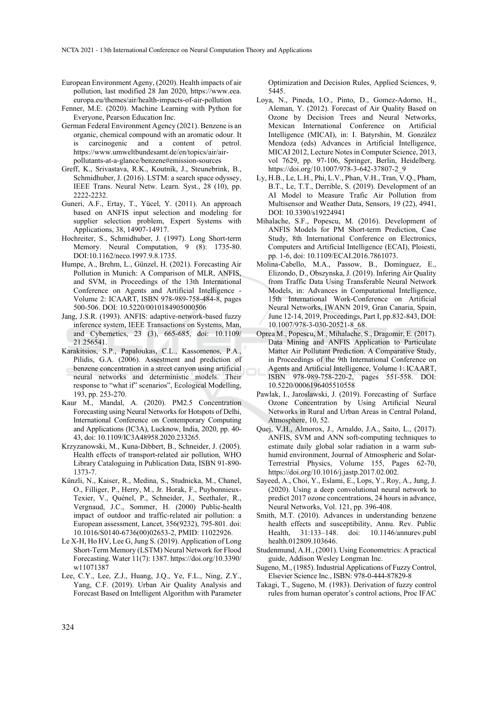- European Environment Ageny, (2020). Health impacts of air pollution, last modified 28 Jan 2020, https://www.eea. europa.eu/themes/air/health-impacts-of-air-pollution
- Fenner, M.E. (2020). Machine Learning with Python for Everyone, Pearson Education Inc.
- German Federal Environment Agency (2021). Benzene is an organic, chemical compound with an aromatic odour. It is carcinogenic and a content of petrol. https://www.umweltbundesamt.de/en/topics/air/airpollutants-at-a-glance/benzene#emission-sources
- Greff, K., Srivastava, R.K., Koutník, J., Steunebrink, B., Schmidhuber, J. (2016). LSTM: a search space odyssey, IEEE Trans. Neural Netw. Learn. Syst., 28 (10), pp. 2222-2232.
- Guneri, A.F., Ertay, T., Yücel, Y. (2011). An approach based on ANFIS input selection and modeling for supplier selection problem, Expert Systems with Applications, 38, 14907-14917.
- Hochreiter, S., Schmidhuber, J. (1997). Long Short-term Memory. Neural Computation, 9 (8): 1735-80. DOI:10.1162/neco.1997.9.8.1735.
- Humpe, A., Brehm, L., Günzel, H. (2021). Forecasting Air Pollution in Munich: A Comparison of MLR, ANFIS, and SVM, in Proceedings of the 13th International Conference on Agents and Artificial Intelligence - Volume 2: ICAART, ISBN 978-989-758-484-8, pages 500-506. DOI: 10.5220/0010184905000506
- Jang, J.S.R. (1993). ANFIS: adaptive-network-based fuzzy inference system, IEEE Transactions on Systems, Man, and Cybernetics, 23 (3), 665-685, doi: 10.1109/ 21.256541.
- Karakitsios, S.P., Papaloukas, C.L., Kassomenos, P.A., Pilidis, G.A. (2006). Assestment and prediction of benzene concentration in a street canyon using artificial neural networks and deterministic models. Their response to "what if" scenarios", Ecological Modelling, 193, pp. 253-270.
- Kaur M., Mandal, A. (2020). PM2.5 Concentration Forecasting using Neural Networks for Hotspots of Delhi, International Conference on Contemporary Computing and Applications (IC3A), Lucknow, India, 2020, pp. 40- 43, doi: 10.1109/IC3A48958.2020.233265.
- Krzyzanowski, M., Kuna-Dibbert, B., Schneider, J. (2005). Health effects of transport-related air pollution, WHO Library Cataloguing in Publication Data, ISBN 91-890- 1373-7.
- Künzli, N., Kaiser, R., Medina, S., Studnicka, M., Chanel, O., Filliger, P., Herry, M., Jr. Horak, F., Puybonnieux-Texier, V., Quénel, P., Schneider, J., Seethaler, R., Vergnaud, J.C., Sommer, H. (2000) Public-health impact of outdoor and traffic-related air pollution: a European assessment, Lancet, 356(9232), 795-801. doi: 10.1016/S0140-6736(00)02653-2, PMID: 11022926.
- Le X-H, Ho HV, Lee G, Jung S. (2019). Application of Long Short-Term Memory (LSTM) Neural Network for Flood Forecasting. Water 11(7): 1387. https://doi.org/10.3390/ w11071387
- Lee, C.Y., Lee, Z.J., Huang, J.Q., Ye, F.L., Ning, Z.Y., Yang, C.F. (2019). Urban Air Quality Analysis and Forecast Based on Intelligent Algorithm with Parameter

Optimization and Decision Rules, Applied Sciences, 9, 5445.

- Loya, N., Pineda, I.O., Pinto, D., Gomez-Adorno, H., Aleman, Y. (2012). Forecast of Air Quality Based on Ozone by Decision Trees and Neural Networks, Mexican International Conference on Artificial Intelligence (MICAI), in: I. Batyrshin, M. González Mendoza (eds) Advances in Artificial Intelligence, MICAI 2012, Lecture Notes in Computer Science, 2013, vol 7629, pp. 97-106, Springer, Berlin, Heidelberg. https://doi.org/10.1007/978-3-642-37807-2\_9
- Ly, H.B., Le, L.H., Phi, L.V., Phan, V.H., Tran, V.Q., Pham, B.T., Le, T.T., Derrible, S. (2019). Development of an AI Model to Measure Trafic Air Pollution from Multisensor and Weather Data, Sensors, 19 (22), 4941, DOI: 10.3390/s19224941
- Mihalache, S.F., Popescu, M. (2016). Development of ANFIS Models for PM Short-term Prediction, Case Study, 8th International Conference on Electronics, Computers and Artificial Intelligence (ECAI), Ploiesti, pp. 1-6, doi: 10.1109/ECAI.2016.7861073.
- Molina-Cabello, M.A., Passow, B., Domínguez, E., Elizondo, D., Obszynska, J. (2019). Infering Air Quality from Traffic Data Using Transferable Neural Network Models, in: Advances in Computational Intelligence, 15th International Work-Conference on Artificial Neural Networks, IWANN 2019, Gran Canaria, Spain, June 12-14, 2019, Proceedings, Part I, pp.832-843, DOI: 10.1007/978-3-030-20521-8\_68.
- Oprea M., Popescu, M., Mihalache, S., Dragomir, E. (2017). Data Mining and ANFIS Application to Particulate Matter Air Pollutant Prediction. A Comparative Study, in Proceedings of the 9th International Conference on Agents and Artificial Intelligence, Volume 1: ICAART, ISBN 978-989-758-220-2, pages 551-558. DOI: 10.5220/0006196405510558
- Pawlak, I., Jaroslawski, J. (2019). Forecasting of Surface Ozone Concentration by Using Artificial Neural Networks in Rural and Urban Areas in Central Poland, Atmosphere, 10, 52.
- Quej, V.H., Almorox, J., Arnaldo, J.A., Saito, L., (2017). ANFIS, SVM and ANN soft-computing techniques to estimate daily global solar radiation in a warm subhumid environment, Journal of Atmospheric and Solar-Terrestrial Physics, Volume 155, Pages 62-70, https://doi.org/10.1016/j.jastp.2017.02.002.
- Sayeed, A., Choi, Y., Eslami, E., Lops, Y., Roy, A., Jung, J. (2020). Using a deep convolutional neural network to predict 2017 ozone concentrations, 24 hours in advance, Neural Networks, Vol. 121, pp. 396-408.
- Smith, M.T. (2010). Advances in understanding benzene health effects and susceptibility, Annu. Rev. Public Health, 31:133–148. doi: 10.1146/annurev.publ health.012809.103646.
- Studenmund, A.H., (2001). Using Econometrics: A practical guide, Addison Wesley Longman Inc.
- Sugeno, M., (1985). Industrial Applications of Fuzzy Control, Elsevier Science Inc., ISBN: 978-0-444-87829-8
- Takagi, T., Sugeno, M. (1983). Derivation of fuzzy control rules from human operator's control actions, Proc IFAC